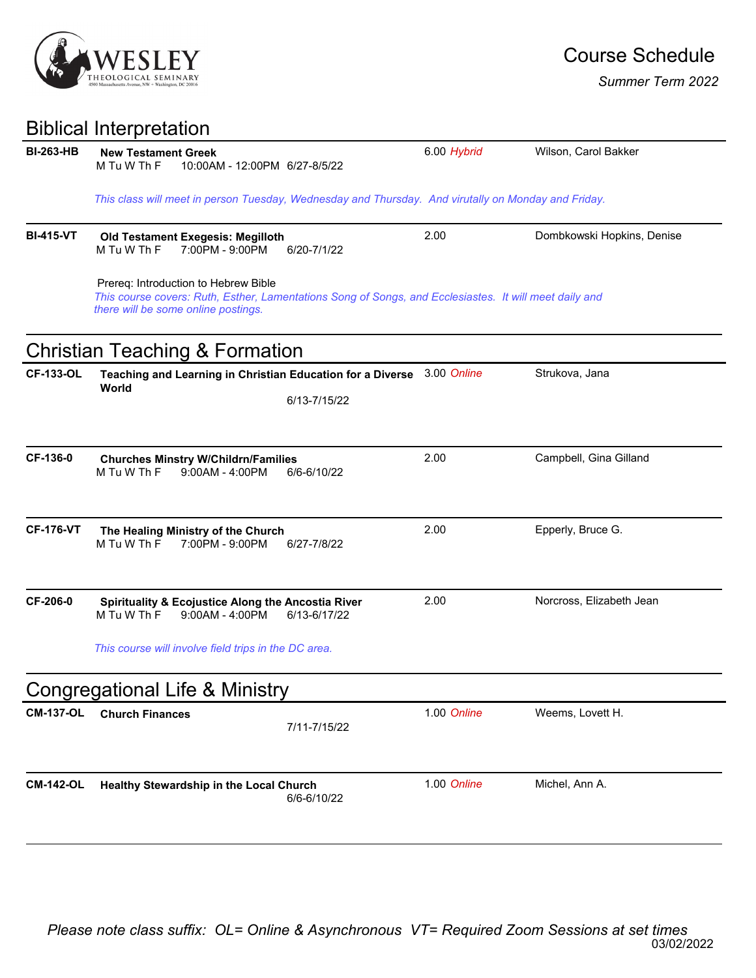

*Summer Term 2022*

## Biblical Interpretation

| <b>BI-263-HB</b> | <b>New Testament Greek</b><br>M Tu W Th F<br>10:00AM - 12:00PM 6/27-8/5/22                                                                                                            |              | 6.00 Hybrid | Wilson, Carol Bakker       |  |  |
|------------------|---------------------------------------------------------------------------------------------------------------------------------------------------------------------------------------|--------------|-------------|----------------------------|--|--|
|                  | This class will meet in person Tuesday, Wednesday and Thursday. And virutally on Monday and Friday.                                                                                   |              |             |                            |  |  |
| <b>BI-415-VT</b> | <b>Old Testament Exegesis: Megilloth</b><br>7:00PM - 9:00PM<br>M Tu W Th F                                                                                                            | 6/20-7/1/22  | 2.00        | Dombkowski Hopkins, Denise |  |  |
|                  | Prereq: Introduction to Hebrew Bible<br>This course covers: Ruth, Esther, Lamentations Song of Songs, and Ecclesiastes. It will meet daily and<br>there will be some online postings. |              |             |                            |  |  |
|                  | <b>Christian Teaching &amp; Formation</b>                                                                                                                                             |              |             |                            |  |  |
| <b>CF-133-OL</b> | Teaching and Learning in Christian Education for a Diverse<br>World                                                                                                                   |              | 3.00 Online | Strukova, Jana             |  |  |
|                  |                                                                                                                                                                                       | 6/13-7/15/22 |             |                            |  |  |
| CF-136-0         | <b>Churches Minstry W/Childrn/Families</b><br>M Tu W Th F<br>$9:00AM - 4:00PM$                                                                                                        | 6/6-6/10/22  | 2.00        | Campbell, Gina Gilland     |  |  |
| <b>CF-176-VT</b> | The Healing Ministry of the Church<br>M Tu W Th F<br>7:00PM - 9:00PM                                                                                                                  | 6/27-7/8/22  | 2.00        | Epperly, Bruce G.          |  |  |
| CF-206-0         | <b>Spirituality &amp; Ecojustice Along the Ancostia River</b><br>M Tu W Th F<br>$9:00AM - 4:00PM$                                                                                     | 6/13-6/17/22 | 2.00        | Norcross, Elizabeth Jean   |  |  |
|                  | This course will involve field trips in the DC area.                                                                                                                                  |              |             |                            |  |  |
|                  | <b>Congregational Life &amp; Ministry</b>                                                                                                                                             |              |             |                            |  |  |
| <b>CM-137-OL</b> | <b>Church Finances</b>                                                                                                                                                                | 7/11-7/15/22 | 1.00 Online | Weems, Lovett H.           |  |  |
| <b>CM-142-OL</b> | Healthy Stewardship in the Local Church                                                                                                                                               | 6/6-6/10/22  | 1.00 Online | Michel, Ann A.             |  |  |
|                  |                                                                                                                                                                                       |              |             |                            |  |  |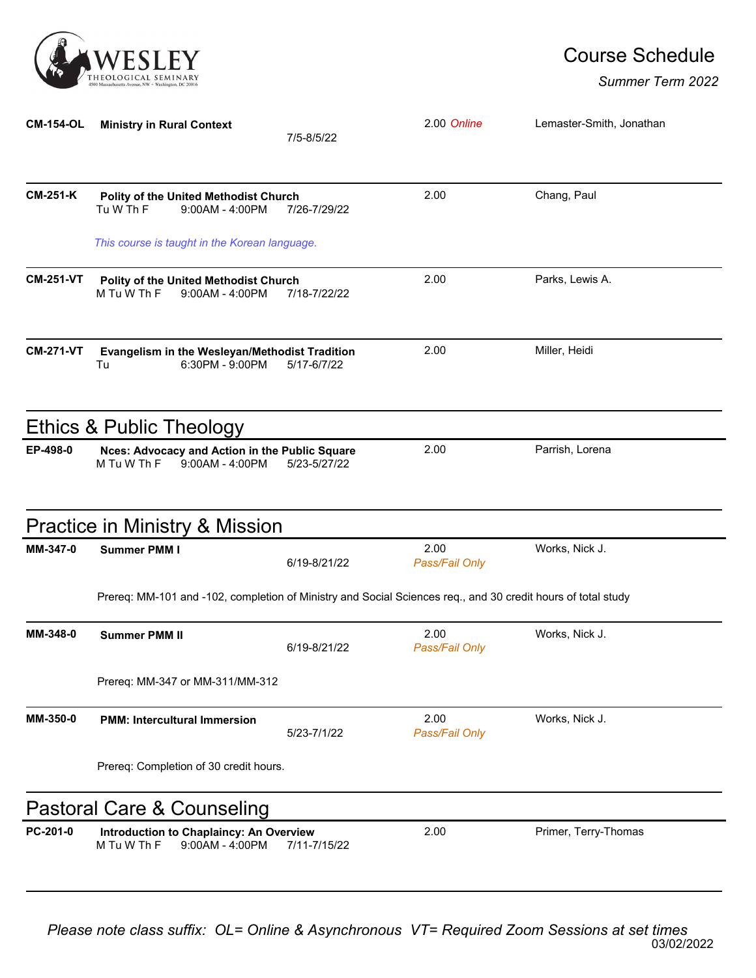

## Course Schedule

*Summer Term 2022*

| <b>CM-154-OL</b> | <b>Ministry in Rural Context</b>                                                                             | 7/5-8/5/22   | 2.00 Online            | Lemaster-Smith, Jonathan |
|------------------|--------------------------------------------------------------------------------------------------------------|--------------|------------------------|--------------------------|
| <b>CM-251-K</b>  | Polity of the United Methodist Church<br>Tu W Th F<br>$9:00AM - 4:00PM$                                      | 7/26-7/29/22 | 2.00                   | Chang, Paul              |
|                  | This course is taught in the Korean language.                                                                |              |                        |                          |
| <b>CM-251-VT</b> | Polity of the United Methodist Church<br>M Tu W Th F<br>$9:00AM - 4:00PM$                                    | 7/18-7/22/22 | 2.00                   | Parks, Lewis A.          |
| <b>CM-271-VT</b> | Evangelism in the Wesleyan/Methodist Tradition<br>Tu<br>6:30PM - 9:00PM                                      | 5/17-6/7/22  | 2.00                   | Miller, Heidi            |
|                  | <b>Ethics &amp; Public Theology</b>                                                                          |              |                        |                          |
| EP-498-0         | Nces: Advocacy and Action in the Public Square<br>M Tu W Th F<br>$9:00AM - 4:00PM$                           | 5/23-5/27/22 | 2.00                   | Parrish, Lorena          |
|                  | <b>Practice in Ministry &amp; Mission</b>                                                                    |              |                        |                          |
| MM-347-0         | <b>Summer PMM I</b>                                                                                          | 6/19-8/21/22 | 2.00<br>Pass/Fail Only | Works, Nick J.           |
|                  | Prereq: MM-101 and -102, completion of Ministry and Social Sciences req., and 30 credit hours of total study |              |                        |                          |
| MM-348-0         | <b>Summer PMM II</b>                                                                                         | 6/19-8/21/22 | 2.00<br>Pass/Fail Only | Works, Nick J.           |
|                  | Prereq: MM-347 or MM-311/MM-312                                                                              |              |                        |                          |
| MM-350-0         | <b>PMM: Intercultural Immersion</b>                                                                          | 5/23-7/1/22  | 2.00<br>Pass/Fail Only | Works, Nick J.           |
|                  | Prereq: Completion of 30 credit hours.                                                                       |              |                        |                          |
|                  | Pastoral Care & Counseling                                                                                   |              |                        |                          |
| PC-201-0         | Introduction to Chaplaincy: An Overview<br>M Tu W Th F<br>$9:00AM - 4:00PM$                                  | 7/11-7/15/22 | 2.00                   | Primer, Terry-Thomas     |

03/02/2022 *Please note class suffix: OL= Online & Asynchronous VT= Required Zoom Sessions at set times*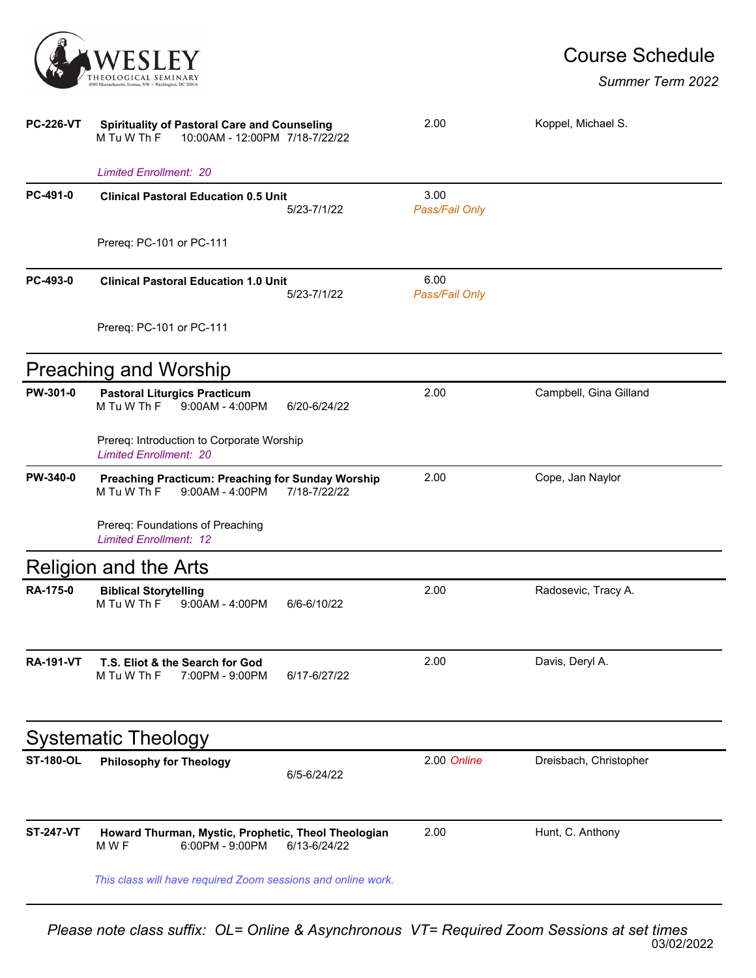

## Course Schedule

## *Summer Term 2022*

| <b>PC-226-VT</b> | <b>Spirituality of Pastoral Care and Counseling</b><br>10:00AM - 12:00PM 7/18-7/22/22<br>M Tu W Th F         | 2.00                   | Koppel, Michael S.     |  |  |
|------------------|--------------------------------------------------------------------------------------------------------------|------------------------|------------------------|--|--|
|                  | <b>Limited Enrollment: 20</b>                                                                                |                        |                        |  |  |
| PC-491-0         | <b>Clinical Pastoral Education 0.5 Unit</b><br>5/23-7/1/22                                                   | 3.00<br>Pass/Fail Only |                        |  |  |
|                  | Prereq: PC-101 or PC-111                                                                                     |                        |                        |  |  |
| PC-493-0         | <b>Clinical Pastoral Education 1.0 Unit</b><br>5/23-7/1/22                                                   | 6.00<br>Pass/Fail Only |                        |  |  |
|                  | Prereq: PC-101 or PC-111                                                                                     |                        |                        |  |  |
|                  | <b>Preaching and Worship</b>                                                                                 |                        |                        |  |  |
| PW-301-0         | <b>Pastoral Liturgics Practicum</b><br>M Tu W Th F<br>$9:00AM - 4:00PM$<br>6/20-6/24/22                      | 2.00                   | Campbell, Gina Gilland |  |  |
|                  | Prereq: Introduction to Corporate Worship<br><b>Limited Enrollment: 20</b>                                   |                        |                        |  |  |
| <b>PW-340-0</b>  | <b>Preaching Practicum: Preaching for Sunday Worship</b><br>M Tu W Th F<br>$9:00AM - 4:00PM$<br>7/18-7/22/22 | 2.00                   | Cope, Jan Naylor       |  |  |
|                  | Prereq: Foundations of Preaching<br><b>Limited Enrollment: 12</b>                                            |                        |                        |  |  |
|                  | <b>Religion and the Arts</b>                                                                                 |                        |                        |  |  |
| <b>RA-175-0</b>  | <b>Biblical Storytelling</b><br>M Tu W Th F<br>$9:00AM - 4:00PM$<br>6/6-6/10/22                              | 2.00                   | Radosevic, Tracy A.    |  |  |
| RA-191-VT        | T.S. Eliot & the Search for God<br>M Tu W Th F<br>7:00PM - 9:00PM<br>6/17-6/27/22                            | 2.00                   | Davis, Deryl A.        |  |  |
|                  | <b>Systematic Theology</b>                                                                                   |                        |                        |  |  |
| <b>ST-180-OL</b> | <b>Philosophy for Theology</b><br>6/5-6/24/22                                                                | 2.00 Online            | Dreisbach, Christopher |  |  |
| <b>ST-247-VT</b> | Howard Thurman, Mystic, Prophetic, Theol Theologian<br>M W F<br>6:00PM - 9:00PM<br>6/13-6/24/22              | 2.00                   | Hunt, C. Anthony       |  |  |
|                  | This class will have required Zoom sessions and online work.                                                 |                        |                        |  |  |

03/02/2022 *Please note class suffix: OL= Online & Asynchronous VT= Required Zoom Sessions at set times*